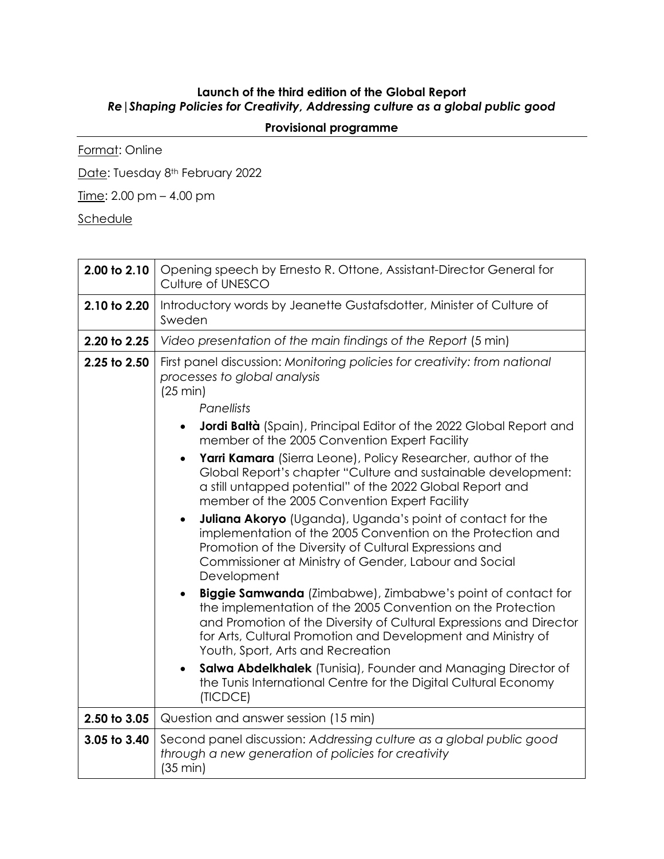## **Launch of the third edition of the Global Report** *Re|Shaping Policies for Creativity, Addressing culture as a global public good*

## **Provisional programme**

Format: Online

Date: Tuesday 8<sup>th</sup> February 2022

Time: 2.00 pm – 4.00 pm

**Schedule** 

| 2.00 to 2.10 | Opening speech by Ernesto R. Ottone, Assistant-Director General for<br>Culture of UNESCO                                                                                                                                                                                                                                                                                                                                                                                                                                                                                                                                                                                                                                                                                                                                                                                                                                                                                                                                                                                                                                                                                                                                                                                                                      |
|--------------|---------------------------------------------------------------------------------------------------------------------------------------------------------------------------------------------------------------------------------------------------------------------------------------------------------------------------------------------------------------------------------------------------------------------------------------------------------------------------------------------------------------------------------------------------------------------------------------------------------------------------------------------------------------------------------------------------------------------------------------------------------------------------------------------------------------------------------------------------------------------------------------------------------------------------------------------------------------------------------------------------------------------------------------------------------------------------------------------------------------------------------------------------------------------------------------------------------------------------------------------------------------------------------------------------------------|
| 2.10 to 2.20 | Introductory words by Jeanette Gustafsdotter, Minister of Culture of<br>Sweden                                                                                                                                                                                                                                                                                                                                                                                                                                                                                                                                                                                                                                                                                                                                                                                                                                                                                                                                                                                                                                                                                                                                                                                                                                |
| 2.20 to 2.25 | Video presentation of the main findings of the Report (5 min)                                                                                                                                                                                                                                                                                                                                                                                                                                                                                                                                                                                                                                                                                                                                                                                                                                                                                                                                                                                                                                                                                                                                                                                                                                                 |
| 2.25 to 2.50 | First panel discussion: Monitoring policies for creativity: from national<br>processes to global analysis<br>(25 min)<br>Panellists<br><b>Jordi Baltà</b> (Spain), Principal Editor of the 2022 Global Report and<br>$\bullet$<br>member of the 2005 Convention Expert Facility<br>Yarri Kamara (Sierra Leone), Policy Researcher, author of the<br>$\bullet$<br>Global Report's chapter "Culture and sustainable development:<br>a still untapped potential" of the 2022 Global Report and<br>member of the 2005 Convention Expert Facility<br><b>Juliana Akoryo</b> (Uganda), Uganda's point of contact for the<br>$\bullet$<br>implementation of the 2005 Convention on the Protection and<br>Promotion of the Diversity of Cultural Expressions and<br>Commissioner at Ministry of Gender, Labour and Social<br>Development<br><b>Biggie Samwanda</b> (Zimbabwe), Zimbabwe's point of contact for<br>the implementation of the 2005 Convention on the Protection<br>and Promotion of the Diversity of Cultural Expressions and Director<br>for Arts, Cultural Promotion and Development and Ministry of<br>Youth, Sport, Arts and Recreation<br>Salwa Abdelkhalek (Tunisia), Founder and Managing Director of<br>$\bullet$<br>the Tunis International Centre for the Digital Cultural Economy<br>(TICDCE) |
| 2.50 to 3.05 | Question and answer session (15 min)                                                                                                                                                                                                                                                                                                                                                                                                                                                                                                                                                                                                                                                                                                                                                                                                                                                                                                                                                                                                                                                                                                                                                                                                                                                                          |
| 3.05 to 3.40 | Second panel discussion: Addressing culture as a global public good<br>through a new generation of policies for creativity<br>(35 min)                                                                                                                                                                                                                                                                                                                                                                                                                                                                                                                                                                                                                                                                                                                                                                                                                                                                                                                                                                                                                                                                                                                                                                        |